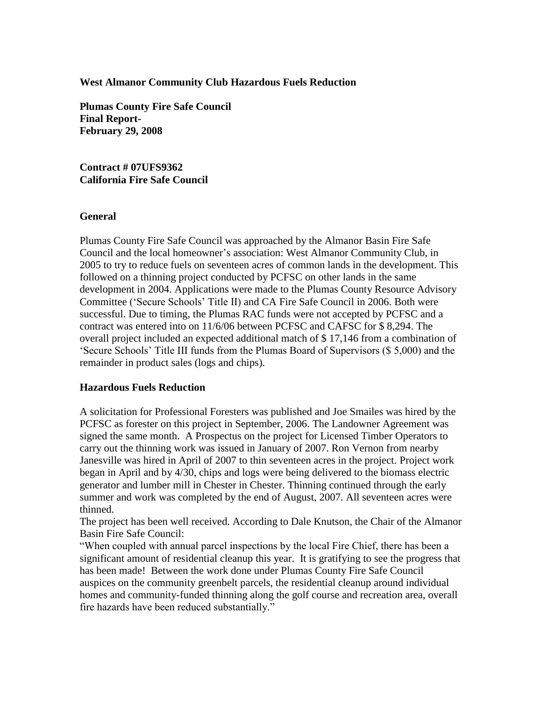## **West Almanor Community Club Hazardous Fuels Reduction**

**Plumas County Fire Safe Council Final Report-February 29, 2008**

**Contract # 07UFS9362 California Fire Safe Council**

## **General**

Plumas County Fire Safe Council was approached by the Almanor Basin Fire Safe Council and the local homeowner's association: West Almanor Community Club, in 2005 to try to reduce fuels on seventeen acres of common lands in the development. This followed on a thinning project conducted by PCFSC on other lands in the same development in 2004. Applications were made to the Plumas County Resource Advisory Committee ('Secure Schools' Title II) and CA Fire Safe Council in 2006. Both were successful. Due to timing, the Plumas RAC funds were not accepted by PCFSC and a contract was entered into on 11/6/06 between PCFSC and CAFSC for \$ 8,294. The overall project included an expected additional match of \$ 17,146 from a combination of 'Secure Schools' Title III funds from the Plumas Board of Supervisors (\$ 5,000) and the remainder in product sales (logs and chips).

## **Hazardous Fuels Reduction**

A solicitation for Professional Foresters was published and Joe Smailes was hired by the PCFSC as forester on this project in September, 2006. The Landowner Agreement was signed the same month. A Prospectus on the project for Licensed Timber Operators to carry out the thinning work was issued in January of 2007. Ron Vernon from nearby Janesville was hired in April of 2007 to thin seventeen acres in the project. Project work began in April and by 4/30, chips and logs were being delivered to the biomass electric generator and lumber mill in Chester in Chester. Thinning continued through the early summer and work was completed by the end of August, 2007. All seventeen acres were thinned.

The project has been well received. According to Dale Knutson, the Chair of the Almanor Basin Fire Safe Council:

"When coupled with annual parcel inspections by the local Fire Chief, there has been a significant amount of residential cleanup this year. It is gratifying to see the progress that has been made! Between the work done under Plumas County Fire Safe Council auspices on the community greenbelt parcels, the residential cleanup around individual homes and community-funded thinning along the golf course and recreation area, overall fire hazards have been reduced substantially."